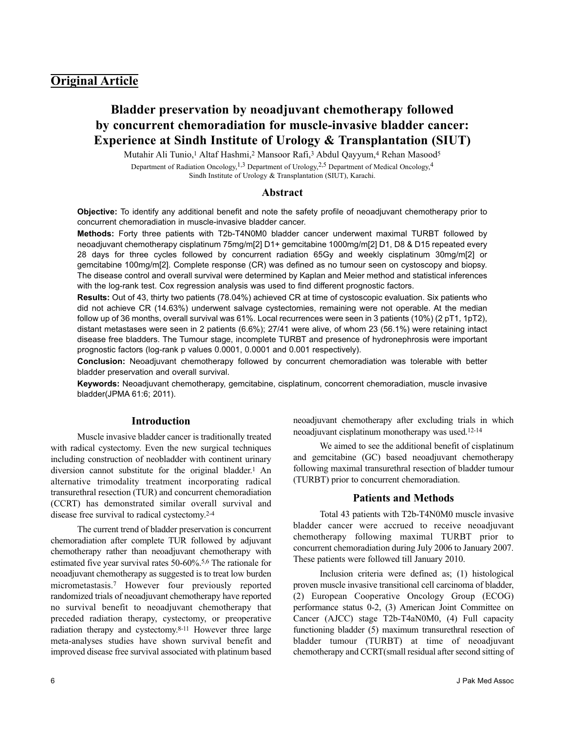## **Original Article**

# **Bladder preservation by neoadjuvant chemotherapy followed by concurrent chemoradiation for muscle-invasive bladder cancer: Experience at Sindh Institute of Urology & Transplantation (SIUT)**

Mutahir Ali Tunio,<sup>1</sup> Altaf Hashmi,<sup>2</sup> Mansoor Rafi,<sup>3</sup> Abdul Qayyum,<sup>4</sup> Rehan Masood<sup>5</sup> Department of Radiation Oncology,  $1,3$  Department of Urology,  $2,5$  Department of Medical Oncology,  $4$ Sindh Institute of Urology & Transplantation (SIUT), Karachi.

#### **Abstract**

**Objective:** To identify any additional benefit and note the safety profile of neoadjuvant chemotherapy prior to concurrent chemoradiation in muscle-invasive bladder cancer.

**Methods:** Forty three patients with T2b-T4N0M0 bladder cancer underwent maximal TURBT followed by neoadjuvant chemotherapy cisplatinum 75mg/m[2] D1+ gemcitabine 1000mg/m[2] D1, D8 & D15 repeated every 28 days for three cycles followed by concurrent radiation 65Gy and weekly cisplatinum 30mg/m[2] or gemcitabine 100mg/m[2]. Complete response (CR) was defined as no tumour seen on cystoscopy and biopsy. The disease control and overall survival were determined by Kaplan and Meier method and statistical inferences with the log-rank test. Cox regression analysis was used to find different prognostic factors.

**Results:** Out of 43, thirty two patients (78.04%) achieved CR at time of cystoscopic evaluation. Six patients who did not achieve CR (14.63%) underwent salvage cystectomies, remaining were not operable. At the median follow up of 36 months, overall survival was 61%. Local recurrences were seen in 3 patients (10%) (2 pT1, 1pT2), distant metastases were seen in 2 patients (6.6%); 27/41 were alive, of whom 23 (56.1%) were retaining intact disease free bladders. The Tumour stage, incomplete TURBT and presence of hydronephrosis were important prognostic factors (log-rank p values 0.0001, 0.0001 and 0.001 respectively).

**Conclusion:** Neoadjuvant chemotherapy followed by concurrent chemoradiation was tolerable with better bladder preservation and overall survival.

**Keywords:** Neoadjuvant chemotherapy, gemcitabine, cisplatinum, concorrent chemoradiation, muscle invasive bladder(JPMA 61:6; 2011).

### **Introduction**

Muscle invasive bladder cancer is traditionally treated with radical cystectomy. Even the new surgical techniques including construction of neobladder with continent urinary diversion cannot substitute for the original bladder.<sup>1</sup> An alternative trimodality treatment incorporating radical transurethral resection (TUR) and concurrent chemoradiation (CCRT) has demonstrated similar overall survival and disease free survival to radical cystectomy.2-4

The current trend of bladder preservation is concurrent chemoradiation after complete TUR followed by adjuvant chemotherapy rather than neoadjuvant chemotherapy with estimated five year survival rates 50-60%.5,6 The rationale for neoadjuvant chemotherapy as suggested is to treat low burden micrometastasis.<sup>7</sup> However four previously reported randomized trials of neoadjuvant chemotherapy have reported no survival benefit to neoadjuvant chemotherapy that preceded radiation therapy, cystectomy, or preoperative radiation therapy and cystectomy.8-11 However three large meta-analyses studies have shown survival benefit and improved disease free survival associated with platinum based neoadjuvant chemotherapy after excluding trials in which neoadjuvant cisplatinum monotherapy was used.12-14

We aimed to see the additional benefit of cisplatinum and gemcitabine (GC) based neoadjuvant chemotherapy following maximal transurethral resection of bladder tumour (TURBT) prior to concurrent chemoradiation.

#### **Patients and Methods**

Total 43 patients with T2b-T4N0M0 muscle invasive bladder cancer were accrued to receive neoadjuvant chemotherapy following maximal TURBT prior to concurrent chemoradiation during July 2006 to January 2007. These patients were followed till January 2010.

Inclusion criteria were defined as; (1) histological proven muscle invasive transitional cell carcinoma of bladder, (2) European Cooperative Oncology Group (ECOG) performance status 0-2, (3) American Joint Committee on Cancer (AJCC) stage T2b-T4aN0M0, (4) Full capacity functioning bladder (5) maximum transurethral resection of bladder tumour (TURBT) at time of neoadjuvant chemotherapy and CCRT(small residual after second sitting of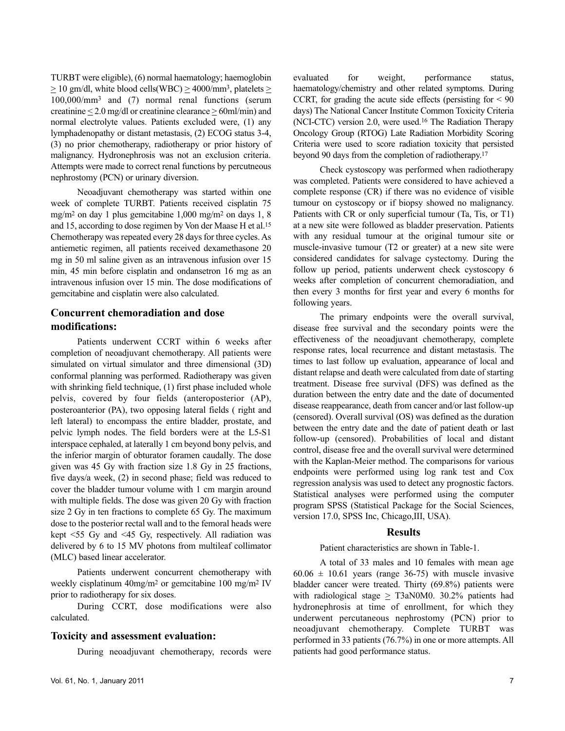TURBT were eligible), (6) normal haematology; haemoglobin  $> 10$  gm/dl, white blood cells(WBC)  $\geq$  4000/mm<sup>3</sup>, platelets  $\geq$ 100,000/mm<sup>3</sup> and (7) normal renal functions (serum creatinine  $\leq 2.0$  mg/dl or creatinine clearance  $\geq 60$ ml/min) and normal electrolyte values. Patients excluded were, (1) any lymphadenopathy or distant metastasis, (2) ECOG status 3-4, (3) no prior chemotherapy, radiotherapy or prior history of malignancy. Hydronephrosis was not an exclusion criteria. Attempts were made to correct renal functions by percutneous nephrostomy (PCN) or urinary diversion.

Neoadjuvant chemotherapy was started within one week of complete TURBT. Patients received cisplatin 75 mg/m<sup>2</sup> on day 1 plus gemcitabine 1,000 mg/m<sup>2</sup> on days 1, 8 and 15, according to dose regimen by Von der Maase H et al.<sup>15</sup> Chemotherapy was repeated every 28 days for three cycles. As antiemetic regimen, all patients received dexamethasone 20 mg in 50 ml saline given as an intravenous infusion over 15 min, 45 min before cisplatin and ondansetron 16 mg as an intravenous infusion over 15 min. The dose modifications of gemcitabine and cisplatin were also calculated.

## **Concurrent chemoradiation and dose modifications:**

Patients underwent CCRT within 6 weeks after completion of neoadjuvant chemotherapy. All patients were simulated on virtual simulator and three dimensional (3D) conformal planning was performed. Radiotherapy was given with shrinking field technique, (1) first phase included whole pelvis, covered by four fields (anteroposterior (AP), posteroanterior (PA), two opposing lateral fields ( right and left lateral) to encompass the entire bladder, prostate, and pelvic lymph nodes. The field borders were at the L5-S1 interspace cephaled, at laterally 1 cm beyond bony pelvis, and the inferior margin of obturator foramen caudally. The dose given was 45 Gy with fraction size 1.8 Gy in 25 fractions, five days/a week, (2) in second phase; field was reduced to cover the bladder tumour volume with 1 cm margin around with multiple fields. The dose was given 20 Gy with fraction size 2 Gy in ten fractions to complete 65 Gy. The maximum dose to the posterior rectal wall and to the femoral heads were kept <55 Gy and <45 Gy, respectively. All radiation was delivered by 6 to 15 MV photons from multileaf collimator (MLC) based linear accelerator.

Patients underwent concurrent chemotherapy with weekly cisplatinum 40mg/m<sup>2</sup> or gemcitabine 100 mg/m<sup>2</sup> IV prior to radiotherapy for six doses.

During CCRT, dose modifications were also calculated.

#### **Toxicity and assessment evaluation:**

During neoadjuvant chemotherapy, records were

evaluated for weight, performance status, haematology/chemistry and other related symptoms. During CCRT, for grading the acute side effects (persisting for  $\leq 90$ ) days) The National Cancer Institute Common Toxicity Criteria (NCI-CTC) version 2.0, were used.<sup>16</sup> The Radiation Therapy Oncology Group (RTOG) Late Radiation Morbidity Scoring Criteria were used to score radiation toxicity that persisted beyond 90 days from the completion of radiotherapy.<sup>17</sup>

Check cystoscopy was performed when radiotherapy was completed. Patients were considered to have achieved a complete response (CR) if there was no evidence of visible tumour on cystoscopy or if biopsy showed no malignancy. Patients with CR or only superficial tumour (Ta, Tis, or T1) at a new site were followed as bladder preservation. Patients with any residual tumour at the original tumour site or muscle-invasive tumour (T2 or greater) at a new site were considered candidates for salvage cystectomy. During the follow up period, patients underwent check cystoscopy 6 weeks after completion of concurrent chemoradiation, and then every 3 months for first year and every 6 months for following years.

The primary endpoints were the overall survival, disease free survival and the secondary points were the effectiveness of the neoadjuvant chemotherapy, complete response rates, local recurrence and distant metastasis. The times to last follow up evaluation, appearance of local and distant relapse and death were calculated from date of starting treatment. Disease free survival (DFS) was defined as the duration between the entry date and the date of documented disease reappearance, death from cancer and/or last follow-up (censored). Overall survival (OS) was defined as the duration between the entry date and the date of patient death or last follow-up (censored). Probabilities of local and distant control, disease free and the overall survival were determined with the Kaplan-Meier method. The comparisons for various endpoints were performed using log rank test and Cox regression analysis was used to detect any prognostic factors. Statistical analyses were performed using the computer program SPSS (Statistical Package for the Social Sciences, version 17.0, SPSS Inc, Chicago,III, USA).

#### **Results**

Patient characteristics are shown in Table-1.

A total of 33 males and 10 females with mean age  $60.06 \pm 10.61$  years (range 36-75) with muscle invasive bladder cancer were treated. Thirty (69.8%) patients were with radiological stage  $>$  T3aN0M0. 30.2% patients had hydronephrosis at time of enrollment, for which they underwent percutaneous nephrostomy (PCN) prior to neoadjuvant chemotherapy. Complete TURBT was performed in 33 patients (76.7%) in one or more attempts. All patients had good performance status.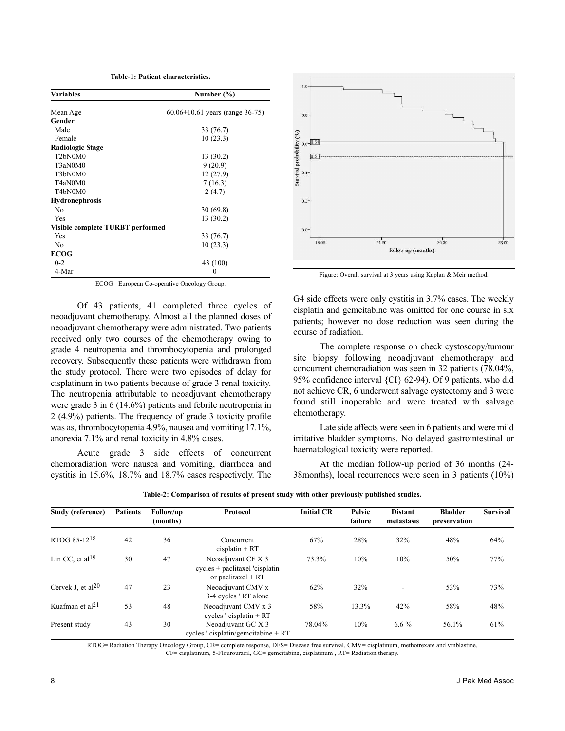| <b>Variables</b>                              | Number $(\% )$<br>$60.06 \pm 10.61$ years (range 36-75) |  |  |  |  |
|-----------------------------------------------|---------------------------------------------------------|--|--|--|--|
| Mean Age                                      |                                                         |  |  |  |  |
| Gender                                        |                                                         |  |  |  |  |
| Male                                          | 33 (76.7)                                               |  |  |  |  |
| Female                                        | 10(23.3)                                                |  |  |  |  |
| Radiologic Stage                              |                                                         |  |  |  |  |
| T2bN0M0                                       | 13 (30.2)                                               |  |  |  |  |
| T3aN0M0                                       | 9(20.9)                                                 |  |  |  |  |
| T3bN0M0                                       | 12(27.9)                                                |  |  |  |  |
| T4aN0M0                                       | 7(16.3)                                                 |  |  |  |  |
| T <sub>4</sub> b <sub>N0</sub> M <sub>0</sub> | 2(4.7)                                                  |  |  |  |  |
| <b>Hydronephrosis</b>                         |                                                         |  |  |  |  |
| N <sub>0</sub>                                | 30(69.8)                                                |  |  |  |  |
| Yes                                           | 13(30.2)                                                |  |  |  |  |
| Visible complete TURBT performed              |                                                         |  |  |  |  |
| Yes                                           | 33 (76.7)                                               |  |  |  |  |
| N <sub>0</sub>                                | 10(23.3)                                                |  |  |  |  |
| <b>ECOG</b>                                   |                                                         |  |  |  |  |
| $0 - 2$                                       | 43 (100)                                                |  |  |  |  |
| 4-Mar                                         | 0                                                       |  |  |  |  |

ECOG= European Co-operative Oncology Group.

Of 43 patients, 41 completed three cycles of neoadjuvant chemotherapy. Almost all the planned doses of neoadjuvant chemotherapy were administrated. Two patients received only two courses of the chemotherapy owing to grade 4 neutropenia and thrombocytopenia and prolonged recovery. Subsequently these patients were withdrawn from the study protocol. There were two episodes of delay for cisplatinum in two patients because of grade 3 renal toxicity. The neutropenia attributable to neoadjuvant chemotherapy were grade 3 in 6 (14.6%) patients and febrile neutropenia in 2 (4.9%) patients. The frequency of grade 3 toxicity profile was as, thrombocytopenia 4.9%, nausea and vomiting 17.1%, anorexia 7.1% and renal toxicity in 4.8% cases.

Acute grade 3 side effects of concurrent chemoradiation were nausea and vomiting, diarrhoea and cystitis in 15.6%, 18.7% and 18.7% cases respectively. The



Figure: Overall survival at 3 years using Kaplan & Meir method.

G4 side effects were only cystitis in 3.7% cases. The weekly cisplatin and gemcitabine was omitted for one course in six patients; however no dose reduction was seen during the course of radiation.

The complete response on check cystoscopy/tumour site biopsy following neoadjuvant chemotherapy and concurrent chemoradiation was seen in 32 patients (78.04%, 95% confidence interval {CI} 62-94). Of 9 patients, who did not achieve CR, 6 underwent salvage cystectomy and 3 were found still inoperable and were treated with salvage chemotherapy.

Late side affects were seen in 6 patients and were mild irritative bladder symptoms. No delayed gastrointestinal or haematological toxicity were reported.

At the median follow-up period of 36 months (24- 38months), local recurrences were seen in 3 patients (10%)

| Study (reference)             | <b>Patients</b> | Follow/up<br>(months) | Protocol                                                                         | <b>Initial CR</b> | Pelvic<br>failure | <b>Distant</b><br>metastasis | <b>Bladder</b><br>preservation | <b>Survival</b> |
|-------------------------------|-----------------|-----------------------|----------------------------------------------------------------------------------|-------------------|-------------------|------------------------------|--------------------------------|-----------------|
| RTOG 85-12 <sup>18</sup>      | 42              | 36                    | Concurrent<br>$cisplatin + RT$                                                   | 67%               | 28%               | 32%                          | 48%                            | 64%             |
| Lin CC, et al <sup>19</sup>   | 30              | 47                    | Neoadjuvant CF X 3<br>cycles $\pm$ paclitaxel 'cisplatin<br>or paclitaxel $+ RT$ | 73.3%             | 10%               | 10%                          | 50%                            | 77%             |
| Cervek J, et al <sup>20</sup> | 47              | 23                    | Neoadjuvant CMV x<br>3-4 cycles ' RT alone                                       | 62%               | 32%               | $\overline{\phantom{a}}$     | 53%                            | 73%             |
| Kuafman et al <sup>21</sup>   | 53              | 48                    | Neoadjuvant CMV x 3<br>cycles $'$ cisplatin + RT                                 | 58%               | 13.3%             | 42%                          | 58%                            | 48%             |
| Present study                 | 43              | 30                    | Neoadjuvant GC X 3<br>cycles ' cisplatin/gemcitabine + $RT$                      | 78.04%            | 10%               | 6.6 $\%$                     | 56.1%                          | 61%             |

**Table-2: Comparison of results of present study with other previously published studies.**

RTOG= Radiation Therapy Oncology Group, CR= complete response, DFS= Disease free survival, CMV= cisplatinum, methotrexate and vinblastine,

CF= cisplatinum, 5-Flourouracil, GC= gemcitabine, cisplatinum , RT= Radiation therapy.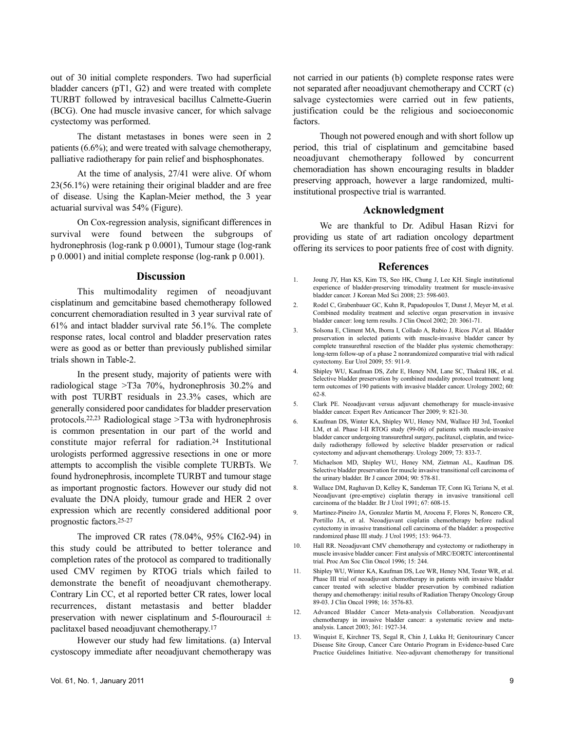out of 30 initial complete responders. Two had superficial bladder cancers (pT1, G2) and were treated with complete TURBT followed by intravesical bacillus Calmette-Guerin (BCG). One had muscle invasive cancer, for which salvage cystectomy was performed.

The distant metastases in bones were seen in 2 patients (6.6%); and were treated with salvage chemotherapy, palliative radiotherapy for pain relief and bisphosphonates.

At the time of analysis, 27/41 were alive. Of whom 23(56.1%) were retaining their original bladder and are free of disease. Using the Kaplan-Meier method, the 3 year actuarial survival was 54% (Figure).

On Cox-regression analysis, significant differences in survival were found between the subgroups of hydronephrosis (log-rank p 0.0001), Tumour stage (log-rank p 0.0001) and initial complete response (log-rank p 0.001).

#### **Discussion**

This multimodality regimen of neoadjuvant cisplatinum and gemcitabine based chemotherapy followed concurrent chemoradiation resulted in 3 year survival rate of 61% and intact bladder survival rate 56.1%. The complete response rates, local control and bladder preservation rates were as good as or better than previously published similar trials shown in Table-2.

In the present study, majority of patients were with radiological stage >T3a 70%, hydronephrosis 30.2% and with post TURBT residuals in 23.3% cases, which are generally considered poor candidates for bladder preservation protocols.22,23 Radiological stage >T3a with hydronephrosis is common presentation in our part of the world and constitute major referral for radiation.<sup>24</sup> Institutional urologists performed aggressive resections in one or more attempts to accomplish the visible complete TURBTs. We found hydronephrosis, incomplete TURBT and tumour stage as important prognostic factors. However our study did not evaluate the DNA ploidy, tumour grade and HER 2 over expression which are recently considered additional poor prognostic factors.25-27

The improved CR rates (78.04%, 95% CI62-94) in this study could be attributed to better tolerance and completion rates of the protocol as compared to traditionally used CMV regimen by RTOG trials which failed to demonstrate the benefit of neoadjuvant chemotherapy. Contrary Lin CC, et al reported better CR rates, lower local recurrences, distant metastasis and better bladder preservation with newer cisplatinum and 5-flourouracil  $\pm$ paclitaxel based neoadjuvant chemotherapy.<sup>17</sup>

However our study had few limitations. (a) Interval cystoscopy immediate after neoadjuvant chemotherapy was

not carried in our patients (b) complete response rates were not separated after neoadjuvant chemotherapy and CCRT (c) salvage cystectomies were carried out in few patients, justification could be the religious and socioeconomic factors.

Though not powered enough and with short follow up period, this trial of cisplatinum and gemcitabine based neoadjuvant chemotherapy followed by concurrent chemoradiation has shown encouraging results in bladder preserving approach, however a large randomized, multiinstitutional prospective trial is warranted.

#### **Acknowledgment**

We are thankful to Dr. Adibul Hasan Rizvi for providing us state of art radiation oncology department offering its services to poor patients free of cost with dignity.

#### **References**

- 1. Joung JY, Han KS, Kim TS, Seo HK, Chung J, Lee KH. Single institutional experience of bladder-preserving trimodality treatment for muscle-invasive bladder cancer. J Korean Med Sci 2008; 23: 598-603.
- 2. Rodel C, Grabenbauer GC, Kuhn R, Papadopoulos T, Dunst J, Meyer M, et al. Combined modality treatment and selective organ preservation in invasive bladder cancer: long term results. J Clin Oncol 2002; 20: 3061-71.
- 3. Solsona E, Climent MA, Iborra I, Collado A, Rubio J, Ricos JV,et al. Bladder preservation in selected patients with muscle-invasive bladder cancer by complete transurethral resection of the bladder plus systemic chemotherapy: long-term follow-up of a phase 2 nonrandomized comparative trial with radical cystectomy. Eur Urol 2009; 55: 911-9.
- 4. Shipley WU, Kaufman DS, Zehr E, Heney NM, Lane SC, Thakral HK, et al. Selective bladder preservation by combined modality protocol treatment: long term outcomes of 190 patients with invasive bladder cancer. Urology 2002; 60: 62-8.
- 5. Clark PE. Neoadjuvant versus adjuvant chemotherapy for muscle-invasive bladder cancer. Expert Rev Anticancer Ther 2009; 9: 821-30.
- 6. Kaufman DS, Winter KA, Shipley WU, Heney NM, Wallace HJ 3rd, Toonkel LM, et al. Phase I-II RTOG study (99-06) of patients with muscle-invasive bladder cancer undergoing transurethral surgery, paclitaxel, cisplatin, and twicedaily radiotherapy followed by selective bladder preservation or radical cystectomy and adjuvant chemotherapy. Urology 2009; 73: 833-7.
- 7. Michaelson MD, Shipley WU, Heney NM, Zietman AL, Kaufman DS. Selective bladder preservation for muscle invasive transitional cell carcinoma of the urinary bladder. Br J cancer 2004; 90: 578-81.
- 8. Wallace DM, Raghavan D, Kelley K, Sandeman TF, Conn IG, Teriana N, et al. Neoadjuvant (pre-emptive) cisplatin therapy in invasive transitional cell carcinoma of the bladder. Br J Urol 1991; 67: 608-15.
- 9. Martinez-Pineiro JA, Gonzalez Martin M, Arocena F, Flores N, Roncero CR, Portillo JA, et al. Neoadjuvant cisplatin chemotherapy before radical cystectomy in invasive transitional cell carcinoma of the bladder: a prospective randomized phase III study. J Urol 1995; 153: 964-73.
- 10. Hall RR. Neoadjuvant CMV chemotherapy and cystectomy or radiotherapy in muscle invasive bladder cancer: First analysis of MRC/EORTC intercontinental trial. Proc Am Soc Clin Oncol 1996; 15: 244.
- 11. Shipley WU, Winter KA, Kaufman DS, Lee WR, Heney NM, Tester WR, et al. Phase III trial of neoadjuvant chemotherapy in patients with invasive bladder cancer treated with selective bladder preservation by combined radiation therapy and chemotherapy: initial results of Radiation Therapy Oncology Group 89-03. J Clin Oncol 1998; 16: 3576-83.
- 12. Advanced Bladder Cancer Meta-analysis Collaboration. Neoadjuvant chemotherapy in invasive bladder cancer: a systematic review and metaanalysis. Lancet 2003; 361: 1927-34.
- 13. Winquist E, Kirchner TS, Segal R, Chin J, Lukka H; Genitourinary Cancer Disease Site Group, Cancer Care Ontario Program in Evidence-based Care Practice Guidelines Initiative. Neo-adjuvant chemotherapy for transitional